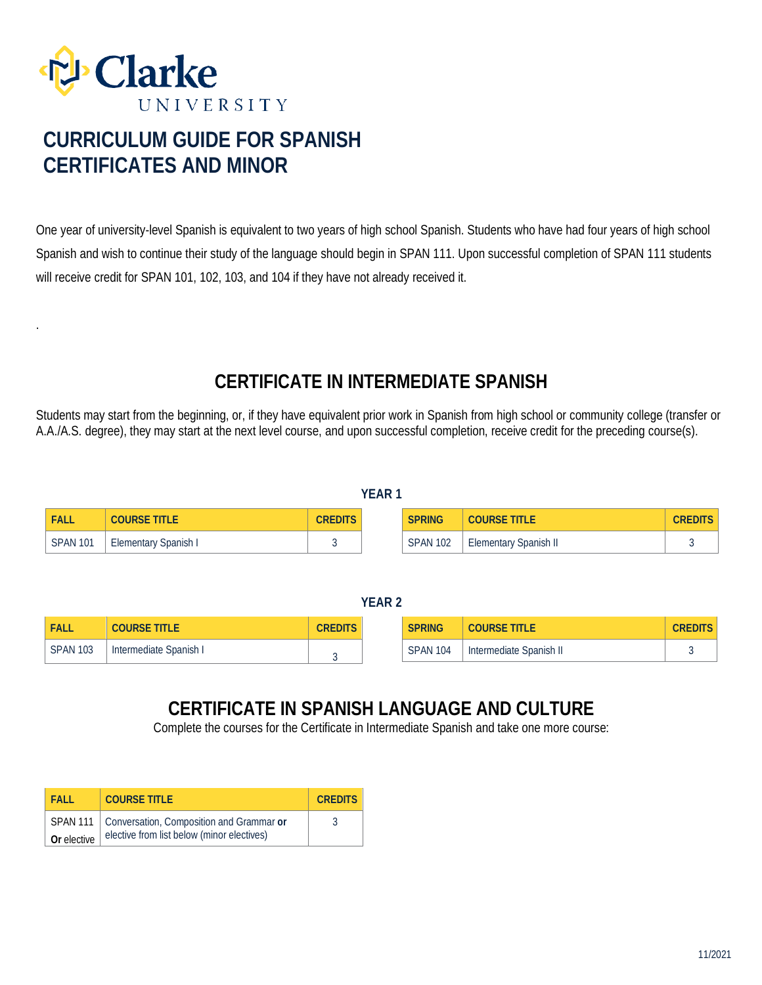

.

# **CURRICULUM GUIDE FOR SPANISH CERTIFICATES AND MINOR**

One year of university-level Spanish is equivalent to two years of high school Spanish. Students who have had four years of high school Spanish and wish to continue their study of the language should begin in SPAN 111. Upon successful completion of SPAN 111 students will receive credit for SPAN 101, 102, 103, and 104 if they have not already received it.

## **CERTIFICATE IN INTERMEDIATE SPANISH**

Students may start from the beginning, or, if they have equivalent prior work in Spanish from high school or community college (transfer or A.A./A.S. degree), they may start at the next level course, and upon successful completion, receive credit for the preceding course(s).

|          |                      |         | . |                 |                              |                |
|----------|----------------------|---------|---|-----------------|------------------------------|----------------|
| FALL     | <b>COURSE TITLE</b>  | CREDITS |   | <b>SPRING</b>   | <b>COURSE TITLE</b>          | <b>CREDITS</b> |
| SPAN 101 | Elementary Spanish I |         |   | <b>SPAN 102</b> | <b>Elementary Spanish II</b> |                |

**YEAR 1**

#### **YEAR 2**

| <b>FALL</b>     | <b>COURSE</b><br>'ITLE | CREDITS | <b>SPRING</b>   | title<br><b>COURSE</b>  | CREDITS |
|-----------------|------------------------|---------|-----------------|-------------------------|---------|
| <b>SPAN 103</b> | Intermediate Spanish   |         | <b>SPAN 104</b> | Intermediate Spanish II |         |

### **CERTIFICATE IN SPANISH LANGUAGE AND CULTURE**

Complete the courses for the Certificate in Intermediate Spanish and take one more course:

| <b>FALL</b> | <b>COURSE TITLE</b>                                 | <b>CREDITS</b> |
|-------------|-----------------------------------------------------|----------------|
|             | SPAN 111   Conversation, Composition and Grammar or |                |
| Or elective | elective from list below (minor electives)          |                |